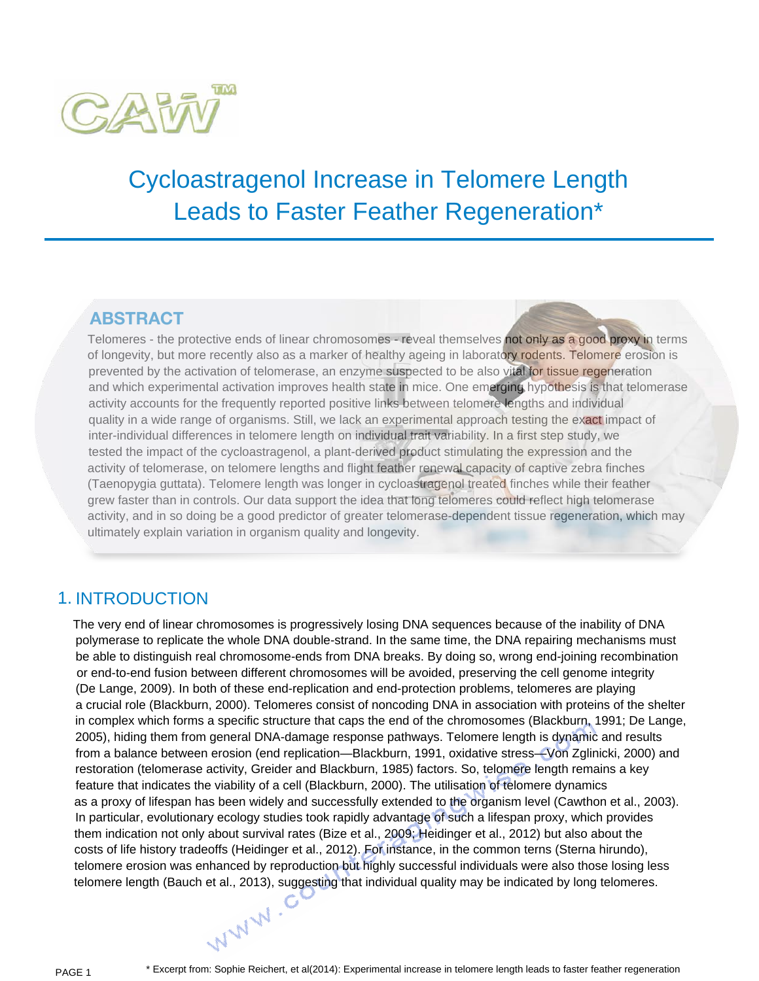

# Cycloastragenol Increase in Telomere Length Leads to Faster Feather Regeneration\*

## **ABstrAct**

Telomeres - the protective ends of linear chromosomes - reveal themselves not only as a good proxy in terms of longevity, but more recently also as a marker of healthy ageing in laboratory rodents. Telomere erosion is prevented by the activation of telomerase, an enzyme suspected to be also vital for tissue regeneration and which experimental activation improves health state in mice. One emerging hypothesis is that telomerase activity accounts for the frequently reported positive links between telomere lengths and individual quality in a wide range of organisms. Still, we lack an experimental approach testing the exact impact of inter-individual differences in telomere length on individual trait variability. In a first step study, we tested the impact of the cycloastragenol, a plant-derived product stimulating the expression and the activity of telomerase, on telomere lengths and flight feather renewal capacity of captive zebra finches (Taenopygia guttata). Telomere length was longer in cycloastragenol treated finches while their feather grew faster than in controls. Our data support the idea that long telomeres could reflect high telomerase activity, and in so doing be a good predictor of greater telomerase-dependent tissue regeneration, which may ultimately explain variation in organism quality and longevity.

## 1. INTRODUCTION

The very end of linear chromosomes is progressively losing DNA sequences because of the inability of DNA polymerase to replicate the whole DNA double-strand. In the same time, the DNA repairing mechanisms must be able to distinguish real chromosome-ends from DNA breaks. By doing so, wrong end-joining recombination or end-to-end fusion between different chromosomes will be avoided, preserving the cell genome integrity (De Lange, 2009). In both of these end-replication and end-protection problems, telomeres are playing a crucial role (Blackburn, 2000). Telomeres consist of noncoding DNA in association with proteins of the shelter in complex which forms a specific structure that caps the end of the chromosomes (Blackburn, 1991; De Lange, 2005), hiding them from general DNA-damage response pathways. Telomere length is dynamic and results from a balance between erosion (end replication—Blackburn, 1991, oxidative stress—Von Zglinicki, 2000) and restoration (telomerase activity, Greider and Blackburn, 1985) factors. So, telomere length remains a key feature that indicates the viability of a cell (Blackburn, 2000). The utilisation of telomere dynamics as a proxy of lifespan has been widely and successfully extended to the organism level (Cawthon et al., 2003). In particular, evolutionary ecology studies took rapidly advantage of such a lifespan proxy, which provides them indication not only about survival rates (Bize et al., 2009; Heidinger et al., 2012) but also about the costs of life history tradeoffs (Heidinger et al., 2012). For instance, in the common terns (Sterna hirundo), telomere erosion was enhanced by reproduction but highly successful individuals were also those losing less telomere length (Bauch et al., 2013), suggesting that individual quality may be indicated by long telomeres.<br>
N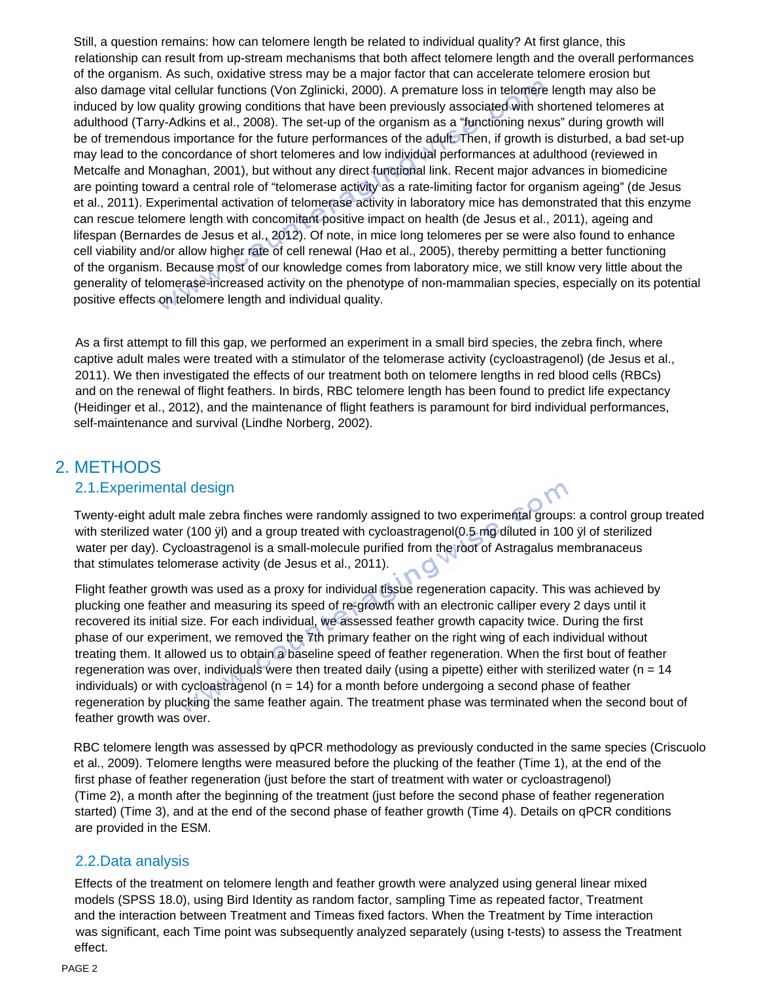Still, a question remains: how can telomere length be related to individual quality? At first glance, this relationship can result from up-stream mechanisms that both affect telomere length and the overall performances of the organism. As such, oxidative stress may be a major factor that can accelerate telomere erosion but also damage vital cellular functions (Von Zglinicki, 2000). A premature loss in telomere length may also be induced by low quality growing conditions that have been previously associated with shortened telomeres at adulthood (Tarry-Adkins et al., 2008). The set-up of the organism as a "functioning nexus" during growth will be of tremendous importance for the future performances of the adult. Then, if growth is disturbed, a bad set-up may lead to the concordance of short telomeres and low individual performances at adulthood (reviewed in Metcalfe and Monaghan, 2001), but without any direct functional link. Recent major advances in biomedicine are pointing toward a central role of "telomerase activity as a rate-limiting factor for organism ageing" (de Jesus et al., 2011). Experimental activation of telomerase activity in laboratory mice has demonstrated that this enzyme can rescue telomere length with concomitant positive impact on health (de Jesus et al., 2011), ageing and lifespan (Bernardes de Jesus et al., 2012). Of note, in mice long telomeres per se were also found to enhance cell viability and/or allow higher rate of cell renewal (Hao et al., 2005), thereby permitting a better functioning of the organism. Because most of our knowledge comes from laboratory mice, we still know very little about the generality of telomerase-increased activity on the phenotype of non-mammalian species, especially on its potential positive effects on telomere length and individual quality.

As a first attempt to fill this gap, we performed an experiment in a small bird species, the zebra finch, where captive adult males were treated with a stimulator of the telomerase activity (cycloastragenol) (de Jesus et al., 2011). We then investigated the effects of our treatment both on telomere lengths in red blood cells (RBCs) and on the renewal of flight feathers. In birds, RBC telomere length has been found to predict life expectancy (Heidinger et al., 2012), and the maintenance of flight feathers is paramount for bird individual performances, self-maintenance and survival (Lindhe Norberg, 2002).

## 2. METHODS

#### 2.1.Experimental design

Twenty-eight adult male zebra finches were randomly assigned to two experimental groups: a control group treated with sterilized water (100 ÿl) and a group treated with cycloastragenol(0.5 mg diluted in 100 ÿl of sterilized water per day). Cycloastragenol is a small-molecule purified from the root of Astragalus membranaceus that stimulates telomerase activity (de Jesus et al., 2011).

Flight feather growth was used as a proxy for individual tissue regeneration capacity. This was achieved by plucking one feather and measuring its speed of re-growth with an electronic calliper every 2 days until it recovered its initial size. For each individual, we assessed feather growth capacity twice. During the first phase of our experiment, we removed the 7th primary feather on the right wing of each individual without treating them. It allowed us to obtain a baseline speed of feather regeneration. When the first bout of feather regeneration was over, individuals were then treated daily (using a pipette) either with sterilized water (n = 14 individuals) or with cycloastragenol ( $n = 14$ ) for a month before undergoing a second phase of feather regeneration by plucking the same feather again. The treatment phase was terminated when the second bout of feather growth was over.

RBC telomere length was assessed by qPCR methodology as previously conducted in the same species (Criscuolo et al., 2009). Telomere lengths were measured before the plucking of the feather (Time 1), at the end of the first phase of feather regeneration (just before the start of treatment with water or cycloastragenol) (Time 2), a month after the beginning of the treatment (just before the second phase of feather regeneration started) (Time 3), and at the end of the second phase of feather growth (Time 4). Details on qPCR conditions are provided in the ESM.

#### 2.2.Data analysis

Effects of the treatment on telomere length and feather growth were analyzed using general linear mixed models (SPSS 18.0), using Bird Identity as random factor, sampling Time as repeated factor, Treatment and the interaction between Treatment and Timeas fixed factors. When the Treatment by Time interaction was significant, each Time point was subsequently analyzed separately (using t-tests) to assess the Treatment effect.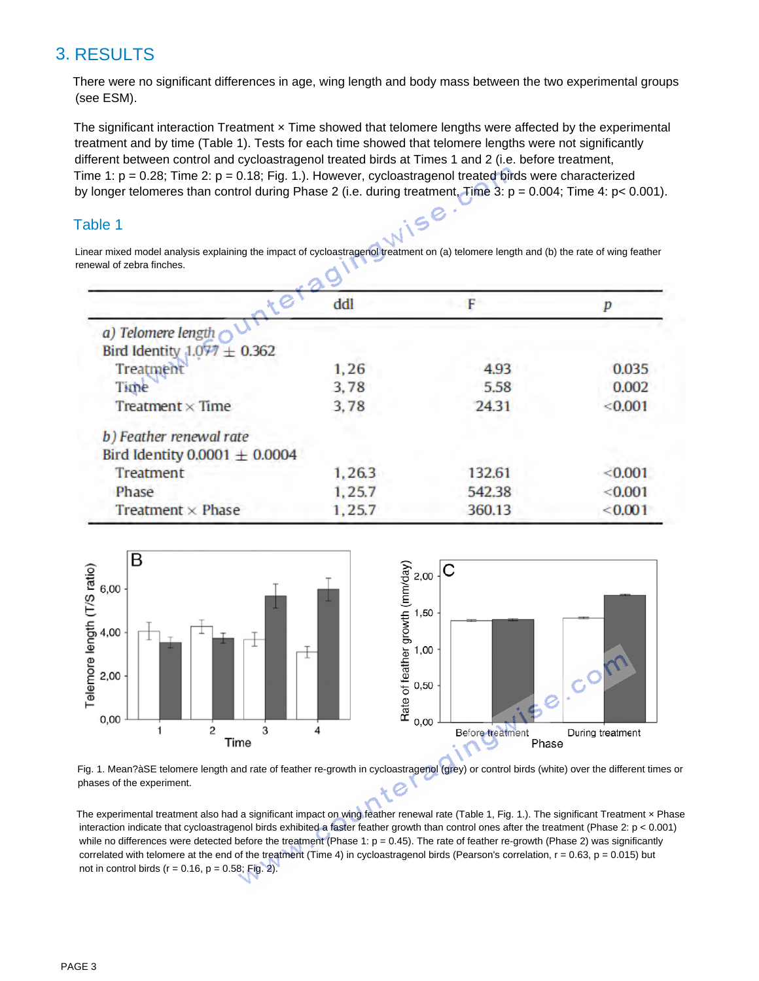## 3. RESULTS

There were no significant differences in age, wing length and body mass between the two experimental groups (see ESM).

The significant interaction Treatment  $x$  Time showed that telomere lengths were affected by the experimental treatment and by time (Table 1). Tests for each time showed that telomere lengths were not significantly different between control and cycloastragenol treated birds at Times 1 and 2 (i.e. before treatment, Time 1:  $p = 0.28$ ; Time 2:  $p = 0.18$ ; Fig. 1.). However, cycloastragenol treated birds were characterized by longer telomeres than control during Phase 2 (i.e. during treatment, Time 3: p = 0.004; Time 4: p< 0.001).

#### Table 1

Linear mixed model analysis explaining the impact of cycloastragenol treatment on (a) telomere length and (b) the rate of wing feather renewal of zebra finches.

NISO

|                                               | ddl    |        |         |
|-----------------------------------------------|--------|--------|---------|
|                                               |        |        |         |
| $\mathbf{v}$<br>a) Telomere length $\bigcirc$ |        |        |         |
| Bird Identity $1.077 \pm 0.362$               |        |        |         |
| Treatment                                     | 1,26   | 4.93   | 0.035   |
| Time                                          | 3,78   | 5.58   | 0.002   |
| Treatment $\times$ Time                       | 3.78   | 24.31  | < 0.001 |
| b) Feather renewal rate                       |        |        |         |
| Bird Identity 0.0001 $\pm$ 0.0004             |        |        |         |
| Treatment                                     | 1,26.3 | 132.61 | < 0.001 |
| Phase                                         | 1,25.7 | 542.38 | < 0.001 |
| Treatment $\times$ Phase                      | 1,25.7 | 360.13 | < 0.001 |
|                                               |        |        |         |



Fig. 1. Mean?àSE telomere length and rate of feather re-growth in cycloastragenol (grey) or control birds (white) over the different times or phases of the experiment.

The experimental treatment also had a significant impact on wing feather renewal rate (Table 1, Fig. 1.). The significant Treatment x Phase interaction indicate that cycloastragenol birds exhibited a faster feather growth than control ones after the treatment (Phase 2: p < 0.001) while no differences were detected before the treatment (Phase 1:  $p = 0.45$ ). The rate of feather re-growth (Phase 2) was significantly correlated with telomere at the end of the treatment (Time 4) in cycloastragenol birds (Pearson's correlation,  $r = 0.63$ ,  $p = 0.015$ ) but not in control birds ( $r = 0.16$ ,  $p = 0.58$ ; Fig. 2).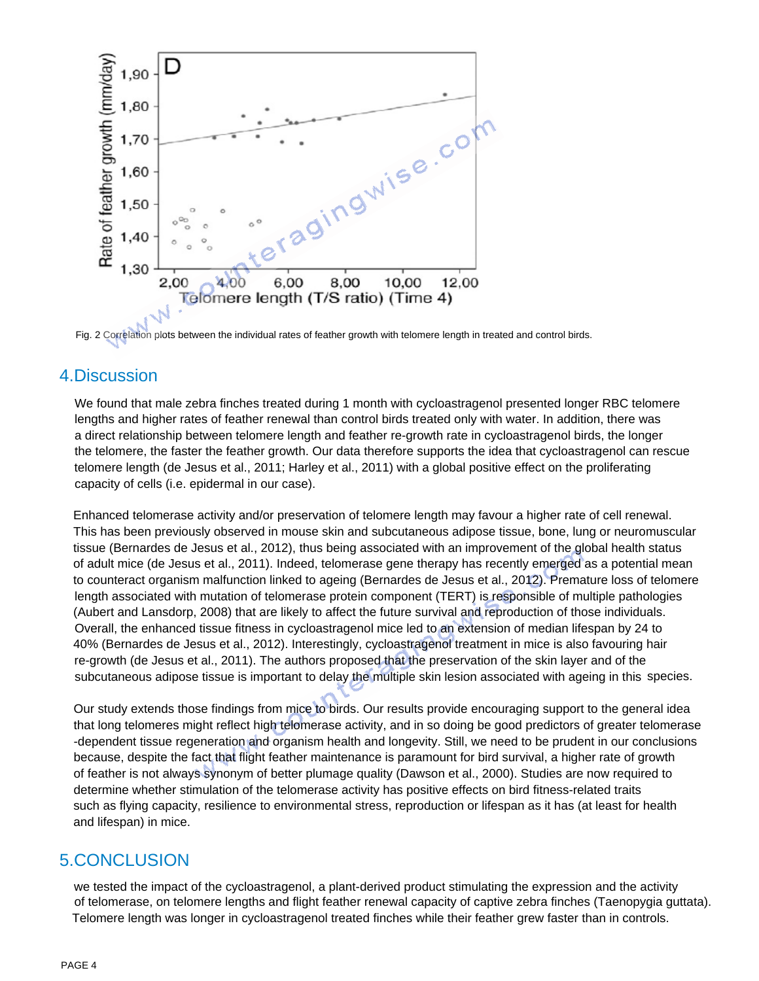

Fig. 2 Correlation plots between the individual rates of feather growth with telomere length in treated and control birds.

### 4.Discussion

We found that male zebra finches treated during 1 month with cycloastragenol presented longer RBC telomere lengths and higher rates of feather renewal than control birds treated only with water. In addition, there was a direct relationship between telomere length and feather re-growth rate in cycloastragenol birds, the longer the telomere, the faster the feather growth. Our data therefore supports the idea that cycloastragenol can rescue telomere length (de Jesus et al., 2011; Harley et al., 2011) with a global positive effect on the proliferating capacity of cells (i.e. epidermal in our case).

Enhanced telomerase activity and/or preservation of telomere length may favour a higher rate of cell renewal. This has been previously observed in mouse skin and subcutaneous adipose tissue, bone, lung or neuromuscular tissue (Bernardes de Jesus et al., 2012), thus being associated with an improvement of the global health status of adult mice (de Jesus et al., 2011). Indeed, telomerase gene therapy has recently emerged as a potential mean to counteract organism malfunction linked to ageing (Bernardes de Jesus et al., 2012). Premature loss of telomere length associated with mutation of telomerase protein component (TERT) is responsible of multiple pathologies (Aubert and Lansdorp, 2008) that are likely to affect the future survival and reproduction of those individuals. Overall, the enhanced tissue fitness in cycloastragenol mice led to an extension of median lifespan by 24 to 40% (Bernardes de Jesus et al., 2012). Interestingly, cycloastragenol treatment in mice is also favouring hair re-growth (de Jesus et al., 2011). The authors proposed that the preservation of the skin layer and of the subcutaneous adipose tissue is important to delay the multiple skin lesion associated with ageing in this species.

Our study extends those findings from mice to birds. Our results provide encouraging support to the general idea that long telomeres might reflect high telomerase activity, and in so doing be good predictors of greater telomerase -dependent tissue regeneration and organism health and longevity. Still, we need to be prudent in our conclusions because, despite the fact that flight feather maintenance is paramount for bird survival, a higher rate of growth of feather is not always synonym of better plumage quality (Dawson et al., 2000). Studies are now required to determine whether stimulation of the telomerase activity has positive effects on bird fitness-related traits such as flying capacity, resilience to environmental stress, reproduction or lifespan as it has (at least for health and lifespan) in mice.

## 5.CONCLUSION

we tested the impact of the cycloastragenol, a plant-derived product stimulating the expression and the activity of telomerase, on telomere lengths and flight feather renewal capacity of captive zebra finches (Taenopygia guttata). Telomere length was longer in cycloastragenol treated finches while their feather grew faster than in controls.